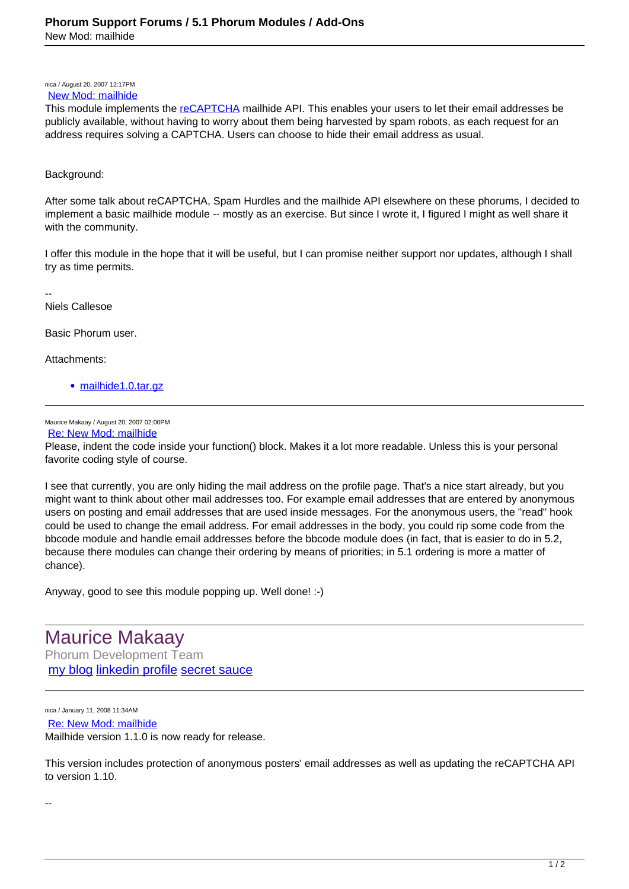nica / August 20, 2007 12:17PM [New Mod: mailhide](https://www.phorum.org/phorum5/read.php?16,123946,123946#msg-123946)

This module implements the [reCAPTCHA](http://recaptcha.net) mailhide API. This enables your users to let their email addresses be publicly available, without having to worry about them being harvested by spam robots, as each request for an address requires solving a CAPTCHA. Users can choose to hide their email address as usual.

## Background:

After some talk about reCAPTCHA, Spam Hurdles and the mailhide API elsewhere on these phorums, I decided to implement a basic mailhide module -- mostly as an exercise. But since I wrote it, I figured I might as well share it with the community.

I offer this module in the hope that it will be useful, but I can promise neither support nor updates, although I shall try as time permits.

--

Niels Callesoe

Basic Phorum user.

Attachments:

[mailhide1.0.tar.gz](https://www.phorum.org/phorum5/file.php/download/16/1794/mailhide1.0.tar.gz)

Maurice Makaay / August 20, 2007 02:00PM

[Re: New Mod: mailhide](https://www.phorum.org/phorum5/read.php?16,123946,123948#msg-123948)

Please, indent the code inside your function() block. Makes it a lot more readable. Unless this is your personal favorite coding style of course.

I see that currently, you are only hiding the mail address on the profile page. That's a nice start already, but you might want to think about other mail addresses too. For example email addresses that are entered by anonymous users on posting and email addresses that are used inside messages. For the anonymous users, the "read" hook could be used to change the email address. For email addresses in the body, you could rip some code from the bbcode module and handle email addresses before the bbcode module does (in fact, that is easier to do in 5.2, because there modules can change their ordering by means of priorities; in 5.1 ordering is more a matter of chance).

Anyway, good to see this module popping up. Well done! :-)

Maurice Makaay Phorum Development Team [my blog](http://mmakaay.wordpress.com) [linkedin profile](http://www.linkedin.com/in/mmakaay) [secret sauce](http://secretsauce.phorum.org)

nica / January 11, 2008 11:34AM [Re: New Mod: mailhide](https://www.phorum.org/phorum5/read.php?16,123946,126993#msg-126993) Mailhide version 1.1.0 is now ready for release.

This version includes protection of anonymous posters' email addresses as well as updating the reCAPTCHA API to version 1.10.